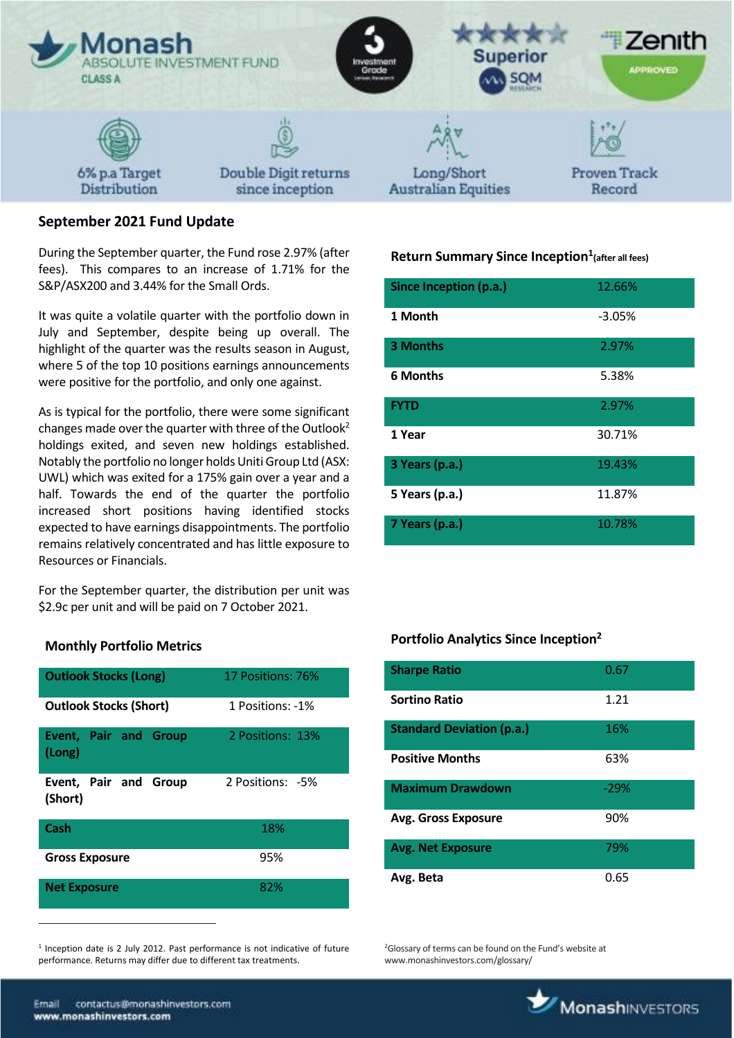

# **September 2021 Fund Update**

During the September quarter, the Fund rose 2.97% (after fees). This compares to an increase of 1.71% for the S&P/ASX200 and 3.44% for the Small Ords.

It was quite a volatile quarter with the portfolio down in July and September, despite being up overall. The highlight of the quarter was the results season in August, where 5 of the top 10 positions earnings announcements were positive for the portfolio, and only one against.

As is typical for the portfolio, there were some significant changes made over the quarter with three of the Outlook<sup>2</sup> holdings exited, and seven new holdings established. Notably the portfolio no longer holds Uniti Group Ltd (ASX: UWL) which was exited for a 175% gain over a year and a half. Towards the end of the quarter the portfolio increased short positions having identified stocks expected to have earnings disappointments. The portfolio remains relatively concentrated and has little exposure to Resources or Financials.

For the September quarter, the distribution per unit was \$2.9c per unit and will be paid on 7 October 2021.

| <b>Outlook Stocks (Long)</b>           | 17 Positions: 76% |
|----------------------------------------|-------------------|
| <b>Outlook Stocks (Short)</b>          | 1 Positions: -1%  |
| <b>Event, Pair and Group</b><br>(Long) | 2 Positions: 13%  |
| Event, Pair and Group<br>(Short)       | 2 Positions: -5%  |
| Cash                                   | 18%               |
| <b>Gross Exposure</b>                  | 95%               |
| <b>Net Exposure</b>                    | 82%               |

**Monthly Portfolio Metrics**

<sup>1</sup> Inception date is 2 July 2012. Past performance is not indicative of future performance. Returns may differ due to different tax treatments.

# **Return Summary Since Inception<sup>1</sup> (after all fees)**

| Since Inception (p.a.) | 12.66%   |
|------------------------|----------|
| 1 Month                | $-3.05%$ |
| <b>3 Months</b>        | 2.97%    |
| <b>6 Months</b>        | 5.38%    |
| <b>FYTD</b>            | 2.97%    |
| 1 Year                 | 30.71%   |
| 3 Years (p.a.)         | 19.43%   |
| 5 Years (p.a.)         | 11.87%   |
| 7 Years (p.a.)         | 10.78%   |

# **Portfolio Analytics Since Inception<sup>2</sup>**

| <b>Sharpe Ratio</b>              | 0.67   |
|----------------------------------|--------|
| <b>Sortino Ratio</b>             | 1.21   |
| <b>Standard Deviation (p.a.)</b> | 16%    |
| <b>Positive Months</b>           | 63%    |
| <b>Maximum Drawdown</b>          | $-29%$ |
| <b>Avg. Gross Exposure</b>       | 90%    |
| <b>Avg. Net Exposure</b>         | 79%    |
| Avg. Beta                        | 0.65   |

<sup>2</sup>Glossary of terms can be found on the Fund's website at www.monashinvestors.com/glossary/

 $\overline{a}$ 

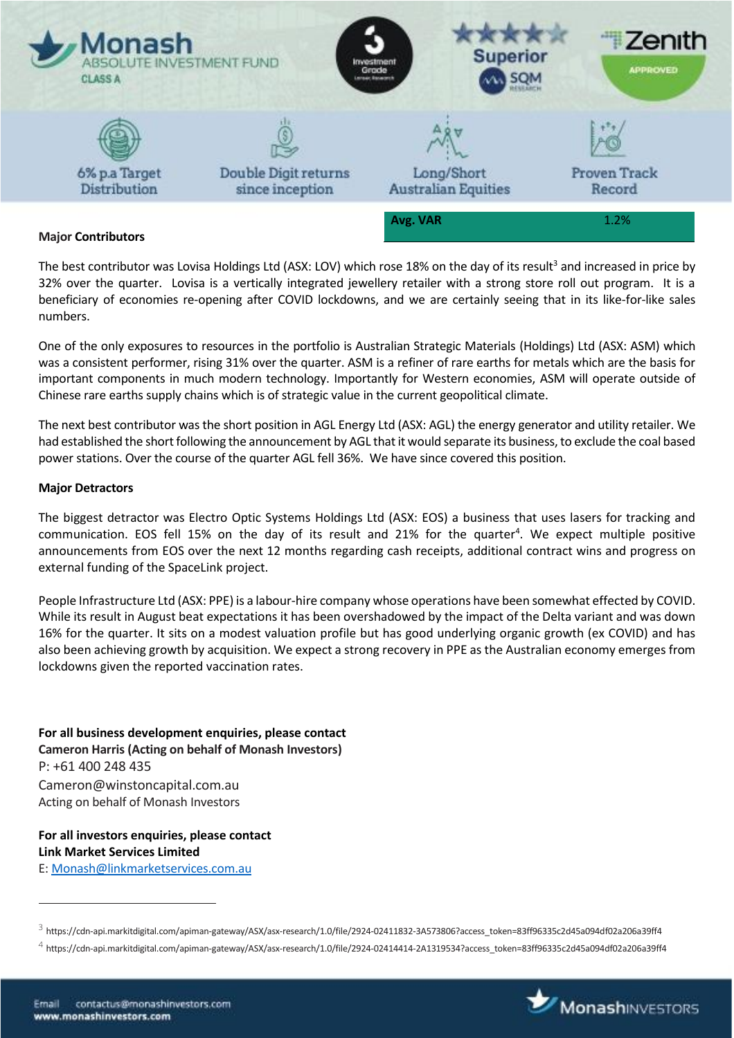

### **Major Contributors**

The best contributor was Lovisa Holdings Ltd (ASX: LOV) which rose 18% on the day of its result<sup>3</sup> and increased in price by 32% over the quarter. Lovisa is a vertically integrated jewellery retailer with a strong store roll out program. It is a beneficiary of economies re-opening after COVID lockdowns, and we are certainly seeing that in its like-for-like sales numbers.

One of the only exposures to resources in the portfolio is Australian Strategic Materials (Holdings) Ltd (ASX: ASM) which was a consistent performer, rising 31% over the quarter. ASM is a refiner of rare earths for metals which are the basis for important components in much modern technology. Importantly for Western economies, ASM will operate outside of Chinese rare earths supply chains which is of strategic value in the current geopolitical climate.

The next best contributor was the short position in AGL Energy Ltd (ASX: AGL) the energy generator and utility retailer. We had established the short following the announcement by AGL that it would separate its business, to exclude the coal based power stations. Over the course of the quarter AGL fell 36%. We have since covered this position.

#### **Major Detractors**

The biggest detractor was Electro Optic Systems Holdings Ltd (ASX: EOS) a business that uses lasers for tracking and communication. EOS fell 15% on the day of its result and 21% for the quarter<sup>4</sup>. We expect multiple positive announcements from EOS over the next 12 months regarding cash receipts, additional contract wins and progress on external funding of the SpaceLink project.

People Infrastructure Ltd (ASX: PPE) is a labour-hire company whose operations have been somewhat effected by COVID. While its result in August beat expectations it has been overshadowed by the impact of the Delta variant and was down 16% for the quarter. It sits on a modest valuation profile but has good underlying organic growth (ex COVID) and has also been achieving growth by acquisition. We expect a strong recovery in PPE as the Australian economy emerges from lockdowns given the reported vaccination rates.

**For all business development enquiries, please contact Cameron Harris (Acting on behalf of Monash Investors)** P: +61 400 248 435 Cameron@winstoncapital.com.au Acting on behalf of Monash Investors

### **For all investors enquiries, please contact Link Market Services Limited** E[: Monash@linkmarketservices.com.au](mailto:Monash@linkmarketservices.com.au)

 $\overline{a}$ 



 $^3$  https://cdn-api.markitdigital.com/apiman-gateway/ASX/asx-research/1.0/file/2924-02411832-3A573806?access\_token=83ff96335c2d45a094df02a206a39ff4

 $^4$  https://cdn-api.markitdigital.com/apiman-gateway/ASX/asx-research/1.0/file/2924-02414414-2A1319534?access\_token=83ff96335c2d45a094df02a206a39ff4